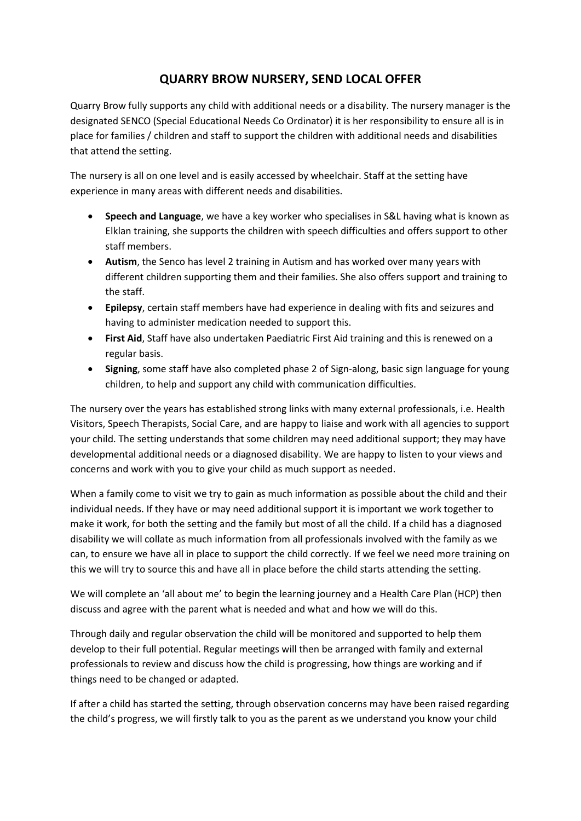## **QUARRY BROW NURSERY, SEND LOCAL OFFER**

Quarry Brow fully supports any child with additional needs or a disability. The nursery manager is the designated SENCO (Special Educational Needs Co Ordinator) it is her responsibility to ensure all is in place for families / children and staff to support the children with additional needs and disabilities that attend the setting.

The nursery is all on one level and is easily accessed by wheelchair. Staff at the setting have experience in many areas with different needs and disabilities.

- **Speech and Language**, we have a key worker who specialises in S&L having what is known as Elklan training, she supports the children with speech difficulties and offers support to other staff members.
- **Autism**, the Senco has level 2 training in Autism and has worked over many years with different children supporting them and their families. She also offers support and training to the staff.
- **Epilepsy**, certain staff members have had experience in dealing with fits and seizures and having to administer medication needed to support this.
- **First Aid**, Staff have also undertaken Paediatric First Aid training and this is renewed on a regular basis.
- **Signing**, some staff have also completed phase 2 of Sign-along, basic sign language for young children, to help and support any child with communication difficulties.

The nursery over the years has established strong links with many external professionals, i.e. Health Visitors, Speech Therapists, Social Care, and are happy to liaise and work with all agencies to support your child. The setting understands that some children may need additional support; they may have developmental additional needs or a diagnosed disability. We are happy to listen to your views and concerns and work with you to give your child as much support as needed.

When a family come to visit we try to gain as much information as possible about the child and their individual needs. If they have or may need additional support it is important we work together to make it work, for both the setting and the family but most of all the child. If a child has a diagnosed disability we will collate as much information from all professionals involved with the family as we can, to ensure we have all in place to support the child correctly. If we feel we need more training on this we will try to source this and have all in place before the child starts attending the setting.

We will complete an 'all about me' to begin the learning journey and a Health Care Plan (HCP) then discuss and agree with the parent what is needed and what and how we will do this.

Through daily and regular observation the child will be monitored and supported to help them develop to their full potential. Regular meetings will then be arranged with family and external professionals to review and discuss how the child is progressing, how things are working and if things need to be changed or adapted.

If after a child has started the setting, through observation concerns may have been raised regarding the child's progress, we will firstly talk to you as the parent as we understand you know your child